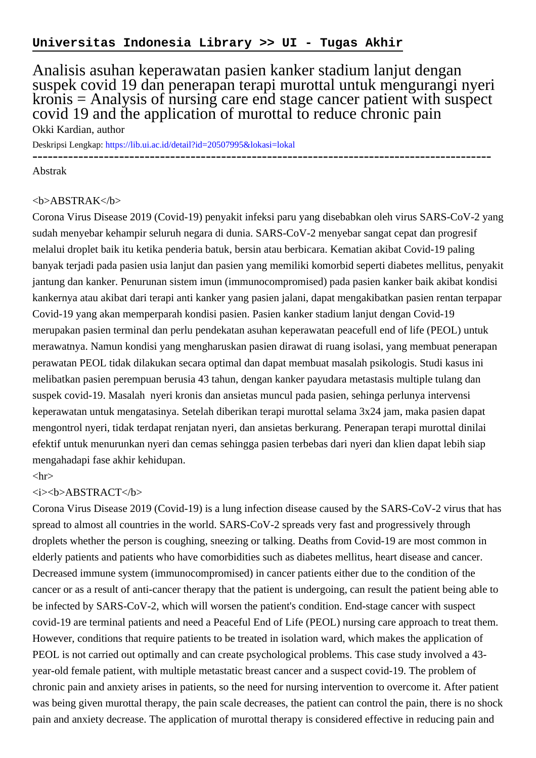Analisis asuhan keperawatan pasien kanker stadium lanjut dengan suspek covid 19 dan penerapan terapi murottal untuk mengurangi nyeri kronis = Analysis of nursing care end stage cancer patient with suspect covid 19 and the application of murottal to reduce chronic pain Okki Kardian, author

Deskripsi Lengkap:<https://lib.ui.ac.id/detail?id=20507995&lokasi=lokal>

------------------------------------------------------------------------------------------

Abstrak

## $$

Corona Virus Disease 2019 (Covid-19) penyakit infeksi paru yang disebabkan oleh virus SARS-CoV-2 yang sudah menyebar kehampir seluruh negara di dunia. SARS-CoV-2 menyebar sangat cepat dan progresif melalui droplet baik itu ketika penderia batuk, bersin atau berbicara. Kematian akibat Covid-19 paling banyak terjadi pada pasien usia lanjut dan pasien yang memiliki komorbid seperti diabetes mellitus, penyakit jantung dan kanker. Penurunan sistem imun (immunocompromised) pada pasien kanker baik akibat kondisi kankernya atau akibat dari terapi anti kanker yang pasien jalani, dapat mengakibatkan pasien rentan terpapar Covid-19 yang akan memperparah kondisi pasien. Pasien kanker stadium lanjut dengan Covid-19 merupakan pasien terminal dan perlu pendekatan asuhan keperawatan peacefull end of life (PEOL) untuk merawatnya. Namun kondisi yang mengharuskan pasien dirawat di ruang isolasi, yang membuat penerapan perawatan PEOL tidak dilakukan secara optimal dan dapat membuat masalah psikologis. Studi kasus ini melibatkan pasien perempuan berusia 43 tahun, dengan kanker payudara metastasis multiple tulang dan suspek covid-19. Masalah nyeri kronis dan ansietas muncul pada pasien, sehinga perlunya intervensi keperawatan untuk mengatasinya. Setelah diberikan terapi murottal selama 3x24 jam, maka pasien dapat mengontrol nyeri, tidak terdapat renjatan nyeri, dan ansietas berkurang. Penerapan terapi murottal dinilai efektif untuk menurunkan nyeri dan cemas sehingga pasien terbebas dari nyeri dan klien dapat lebih siap mengahadapi fase akhir kehidupan.

## $\langle$ hr $>$

## $\langle i \rangle$   $\langle b \rangle$ ABSTRACT $\langle h \rangle$

Corona Virus Disease 2019 (Covid-19) is a lung infection disease caused by the SARS-CoV-2 virus that has spread to almost all countries in the world. SARS-CoV-2 spreads very fast and progressively through droplets whether the person is coughing, sneezing or talking. Deaths from Covid-19 are most common in elderly patients and patients who have comorbidities such as diabetes mellitus, heart disease and cancer. Decreased immune system (immunocompromised) in cancer patients either due to the condition of the cancer or as a result of anti-cancer therapy that the patient is undergoing, can result the patient being able to be infected by SARS-CoV-2, which will worsen the patient's condition. End-stage cancer with suspect covid-19 are terminal patients and need a Peaceful End of Life (PEOL) nursing care approach to treat them. However, conditions that require patients to be treated in isolation ward, which makes the application of PEOL is not carried out optimally and can create psychological problems. This case study involved a 43 year-old female patient, with multiple metastatic breast cancer and a suspect covid-19. The problem of chronic pain and anxiety arises in patients, so the need for nursing intervention to overcome it. After patient was being given murottal therapy, the pain scale decreases, the patient can control the pain, there is no shock pain and anxiety decrease. The application of murottal therapy is considered effective in reducing pain and